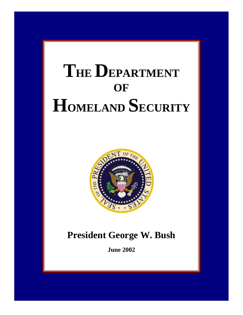# **THE DEPARTMENT OF HOMELAND SECURITY**



# **President George W. Bush**

**June 2002**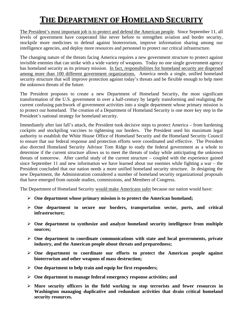# **THE DEPARTMENT OF HOMELAND SECURITY**

The President's most important job is to protect and defend the American people. Since September 11, all levels of government have cooperated like never before to strengthen aviation and border security, stockpile more medicines to defend against bioterrorism, improve information sharing among our intelligence agencies, and deploy more resources and personnel to protect our critical infrastructure.

The changing nature of the threats facing America requires a new government structure to protect against invisible enemies that can strike with a wide variety of weapons. Today no one single government agency has homeland security as its primary mission. In fact, responsibilities for homeland security are dispersed among more than 100 different government organizations. America needs a single, unified homeland security structure that will improve protection against today's threats and be flexible enough to help meet the unknown threats of the future.

The President proposes to create a new Department of Homeland Security, the most significant transformation of the U.S. government in over a half-century by largely transforming and realigning the current confusing patchwork of government activities into a single department whose primary mission is to protect our homeland. The creation of a Department of Homeland Security is one more key step in the President's national strategy for homeland security.

Immediately after last fall's attack, the President took decisive steps to protect America – from hardening cockpits and stockpiling vaccines to tightening our borders. The President used his maximum legal authority to establish the White House Office of Homeland Security and the Homeland Security Council to ensure that our federal response and protection efforts were coordinated and effective. The President also directed Homeland Security Advisor Tom Ridge to study the federal government as a whole to determine if the current structure allows us to meet the threats of today while anticipating the unknown threats of tomorrow. After careful study of the current structure – coupled with the experience gained since September 11 and new information we have learned about our enemies while fighting a war – the President concluded that our nation needs a more unified homeland security structure. In designing the new Department, the Administration considered a number of homeland security organizational proposals that have emerged from outside studies, commissions, and Members of Congress.

The Department of Homeland Security would make Americans safer because our nation would have:

- ÿ **One department whose primary mission is to protect the American homeland;**
- ÿ **One department to secure our borders, transportation sector, ports, and critical infrastructure;**
- ÿ **One department to synthesize and analyze homeland security intelligence from multiple sources;**
- ÿ **One department to coordinate communications with state and local governments, private industry, and the American people about threats and preparedness;**
- ÿ **One department to coordinate our efforts to protect the American people against bioterrorism and other weapons of mass destruction;**
- ÿ **One department to help train and equip for first responders;**
- ÿ **One department to manage federal emergency response activities; and**
- ÿ **More security officers in the field working to stop terrorists and fewer resources in Washington managing duplicative and redundant activities that drain critical homeland security resources.**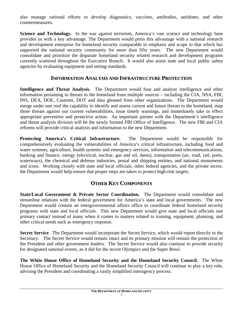also manage national efforts to develop diagnostics, vaccines, antibodies, antidotes, and other countermeasures.

Science and Technology. In the war against terrorism, America's vast science and technology base provides us with a key advantage. The Department would press this advantage with a national research and development enterprise for homeland security comparable in emphasis and scope to that which has supported the national security community for more than fifty years. The new Department would consolidate and prioritize the disparate homeland security related research and development programs currently scattered throughout the Executive Branch. It would also assist state and local public safety agencies by evaluating equipment and setting standards.

# **INFORMATION ANALYSIS AND INFRASTRUCTURE PROTECTION**

**Intelligence and Threat Analysis.** The Department would fuse and analyze intelligence and other information pertaining to threats to the homeland from multiple sources – including the CIA, NSA, FBI, INS, DEA, DOE, Customs, DOT and data gleaned from other organizations. The Department would merge under one roof the capability to identify and assess current and future threats to the homeland, map those threats against our current vulnerabilities, issue timely warnings, and immediately take or effect appropriate preventive and protective action. An important partner with the Department's intelligence and threat analysis division will be the newly formed FBI Office of Intelligence. The new FBI and CIA reforms will provide critical analysis and information to the new Department.

**Protecting America's Critical Infrastructure.** The Department would be responsible for comprehensively evaluating the vulnerabilities of America's critical infrastructure, including food and water systems, agriculture, health systems and emergency services, information and telecommunications, banking and finance, energy (electrical, nuclear, gas and oil, dams), transportation (air, road, rail, ports, waterways), the chemical and defense industries, postal and shipping entities, and national monuments and icons. Working closely with state and local officials, other federal agencies, and the private sector, the Department would help ensure that proper steps are taken to protect high-risk targets.

# **OTHER KEY COMPONENTS**

**State/Local Government & Private Sector Coordination.** The Department would consolidate and streamline relations with the federal government for America's state and local governments. The new Department would contain an intergovernmental affairs office to coordinate federal homeland security programs with state and local officials. This new Department would give state and local officials one primary contact instead of many when it comes to matters related to training, equipment, planning, and other critical needs such as emergency response.

**Secret Service**. The Department would incorporate the Secret Service, which would report directly to the Secretary. The Secret Service would remain intact and its primary mission will remain the protection of the President and other government leaders. The Secret Service would also continue to provide security for designated national events, as it did for the recent Olympics and the Super Bowl.

**The White House Office of Homeland Security and the Homeland Security Council.** The White House Office of Homeland Security and the Homeland Security Council will continue to play a key role, advising the President and coordinating a vastly simplified interagency process.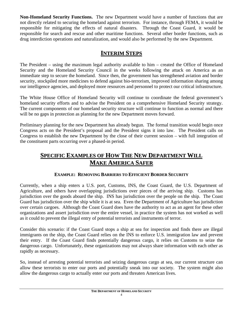**Non-Homeland Security Functions.** The new Department would have a number of functions that are not directly related to securing the homeland against terrorism. For instance, through FEMA, it would be responsible for mitigating the effects of natural disasters. Through the Coast Guard, it would be responsible for search and rescue and other maritime functions. Several other border functions, such as drug interdiction operations and naturalization, and would also be performed by the new Department.

# **INTERIM STEPS**

The President – using the maximum legal authority available to him – created the Office of Homeland Security and the Homeland Security Council in the weeks following the attack on America as an immediate step to secure the homeland. Since then, the government has strengthened aviation and border security, stockpiled more medicines to defend against bio-terrorism, improved information sharing among our intelligence agencies, and deployed more resources and personnel to protect our critical infrastructure.

The White House Office of Homeland Security will continue to coordinate the federal government's homeland security efforts and to advise the President on a comprehensive Homeland Security strategy. The current components of our homeland security structure will continue to function as normal and there will be no gaps in protection as planning for the new Department moves forward.

Preliminary planning for the new Department has already begun. The formal transition would begin once Congress acts on the President's proposal and the President signs it into law. The President calls on Congress to establish the new Department by the close of their current session – with full integration of the constituent parts occurring over a phased-in period.

# **SPECIFIC EXAMPLES OF HOW THE NEW DEPARTMENT WILL MAKE AMERICA SAFER**

# **EXAMPLE: REMOVING BARRIERS TO EFFICIENT BORDER SECURITY**

Currently, when a ship enters a U.S. port, Customs, INS, the Coast Guard, the U.S. Department of Agriculture, and others have overlapping jurisdictions over pieces of the arriving ship. Customs has jurisdiction over the goods aboard the ship. INS has jurisdiction over the people on the ship. The Coast Guard has jurisdiction over the ship while it is at sea. Even the Department of Agriculture has jurisdiction over certain cargoes. Although the Coast Guard does have the authority to act as an agent for these other organizations and assert jurisdiction over the entire vessel, in practice the system has not worked as well as it could to prevent the illegal entry of potential terrorists and instruments of terror.

Consider this scenario: if the Coast Guard stops a ship at sea for inspection and finds there are illegal immigrants on the ship, the Coast Guard relies on the INS to enforce U.S. immigration law and prevent their entry. If the Coast Guard finds potentially dangerous cargo, it relies on Customs to seize the dangerous cargo. Unfortunately, these organizations may not always share information with each other as rapidly as necessary.

So, instead of arresting potential terrorists and seizing dangerous cargo at sea, our current structure can allow these terrorists to enter our ports and potentially sneak into our society. The system might also allow the dangerous cargo to actually enter our ports and threaten American lives.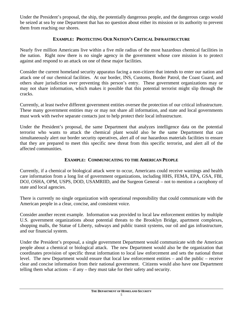Under the President's proposal, the ship, the potentially dangerous people, and the dangerous cargo would be seized at sea by one Department that has no question about either its mission or its authority to prevent them from reaching our shores.

## **EXAMPLE: PROTECTING OUR NATION'S CRITICAL INFRASTRUCTURE**

Nearly five million Americans live within a five mile radius of the most hazardous chemical facilities in the nation. Right now there is no single agency in the government whose core mission is to protect against and respond to an attack on one of these major facilities.

Consider the current homeland security apparatus facing a non-citizen that intends to enter our nation and attack one of our chemical facilities. At our border, INS, Customs, Border Patrol, the Coast Guard, and others share jurisdiction over preventing this person's entry. These government organizations may or may not share information, which makes it possible that this potential terrorist might slip through the cracks.

Currently, at least twelve different government entities oversee the protection of our critical infrastructure. These many government entities may or may not share all information, and state and local governments must work with twelve separate contacts just to help protect their local infrastructure.

Under the President's proposal, the same Department that analyzes intelligence data on the potential terrorist who wants to attack the chemical plant would also be the same Department that can simultaneously alert our border security operatives, alert all of our hazardous materials facilities to ensure that they are prepared to meet this specific new threat from this specific terrorist, and alert all of the affected communities.

#### **EXAMPLE: COMMUNICATING TO THE AMERICAN PEOPLE**

Currently, if a chemical or biological attack were to occur, Americans could receive warnings and health care information from a long list of government organizations, including HHS, FEMA, EPA, GSA, FBI, DOJ, OSHA, OPM, USPS, DOD, USAMRIID, and the Surgeon General – not to mention a cacophony of state and local agencies.

There is currently no single organization with operational responsibility that could communicate with the American people in a clear, concise, and consistent voice.

Consider another recent example. Information was provided to local law enforcement entities by multiple U.S. government organizations about potential threats to the Brooklyn Bridge, apartment complexes, shopping malls, the Statue of Liberty, subways and public transit systems, our oil and gas infrastructure, and our financial system.

Under the President's proposal, a single government Department would communicate with the American people about a chemical or biological attack. The new Department would also be the organization that coordinates provision of specific threat information to local law enforcement and sets the national threat level. The new Department would ensure that local law enforcement entities – and the public – receive clear and concise information from their national government. Citizens would also have one Department telling them what actions – if any – they must take for their safety and security.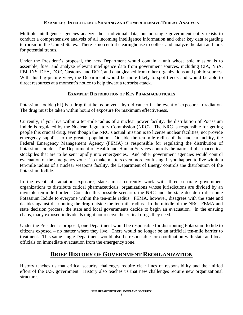#### **EXAMPLE: INTELLIGENCE SHARING AND COMPREHENSIVE THREAT ANALYSIS**

Multiple intelligence agencies analyze their individual data, but no single government entity exists to conduct a comprehensive analysis of all incoming intelligence information and other key data regarding terrorism in the United States. There is no central clearinghouse to collect and analyze the data and look for potential trends.

Under the President's proposal, the new Department would contain a unit whose sole mission is to assemble, fuse, and analyze relevant intelligence data from government sources, including CIA, NSA, FBI, INS, DEA, DOE, Customs, and DOT, and data gleaned from other organizations and public sources. With this big-picture view, the Department would be more likely to spot trends and would be able to direct resources at a moment's notice to help thwart a terrorist attack.

### **EXAMPLE: DISTRIBUTION OF KEY PHARMACEUTICALS**

Potassium Iodide (KI) is a drug that helps prevent thyroid cancer in the event of exposure to radiation. The drug must be taken within hours of exposure for maximum effectiveness.

Currently, if you live within a ten-mile radius of a nuclear power facility, the distribution of Potassium Iodide is regulated by the Nuclear Regulatory Commission (NRC). The NRC is responsible for getting people this crucial drug, even though the NRC's actual mission is to license nuclear facilities, not provide emergency supplies to the greater population. Outside the ten-mile radius of the nuclear facility, the Federal Emergency Management Agency (FEMA) is responsible for regulating the distribution of Potassium Iodide. The Department of Health and Human Services controls the national pharmaceutical stockpiles that are to be sent rapidly into emergencies. And other government agencies would control evacuation of the emergency zone. To make matters even more confusing, if you happen to live within a ten-mile radius of a nuclear weapons facility, the Department of Energy controls the distribution of the Potassium Iodide.

In the event of radiation exposure, states must currently work with three separate government organizations to distribute critical pharmaceuticals, organizations whose jurisdictions are divided by an invisible ten-mile border. Consider this possible scenario: the NRC and the state decide to distribute Potassium Iodide to everyone within the ten-mile radius. FEMA, however, disagrees with the state and decides against distributing the drug outside the ten-mile radius. In the middle of the NRC, FEMA and state decision process, the state and local governments decide to begin an evacuation. In the ensuing chaos, many exposed individuals might not receive the critical drugs they need.

Under the President's proposal, one Department would be responsible for distributing Potassium Iodide to citizens exposed – no matter where they live. There would no longer be an artificial ten-mile barrier to treatment. This same single Department would also be responsible for coordination with state and local officials on immediate evacuation from the emergency zone.

# **BRIEF HISTORY OF GOVERNMENT REORGANIZATION**

History teaches us that critical security challenges require clear lines of responsibility and the unified effort of the U.S. government. History also teaches us that new challenges require new organizational structures.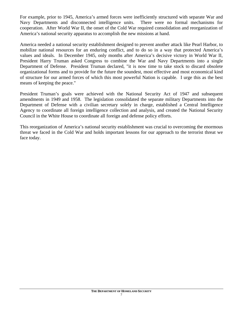For example, prior to 1945, America's armed forces were inefficiently structured with separate War and Navy Departments and disconnected intelligence units. There were no formal mechanisms for cooperation. After World War II, the onset of the Cold War required consolidation and reorganization of America's national security apparatus to accomplish the new missions at hand.

America needed a national security establishment designed to prevent another attack like Pearl Harbor, to mobilize national resources for an enduring conflict, and to do so in a way that protected America's values and ideals. In December 1945, only months after America's decisive victory in World War II, President Harry Truman asked Congress to combine the War and Navy Departments into a single Department of Defense. President Truman declared, "it is now time to take stock to discard obsolete organizational forms and to provide for the future the soundest, most effective and most economical kind of structure for our armed forces of which this most powerful Nation is capable. I urge this as the best means of keeping the peace."

President Truman's goals were achieved with the National Security Act of 1947 and subsequent amendments in 1949 and 1958. The legislation consolidated the separate military Departments into the Department of Defense with a civilian secretary solely in charge, established a Central Intelligence Agency to coordinate all foreign intelligence collection and analysis, and created the National Security Council in the White House to coordinate all foreign and defense policy efforts.

This reorganization of America's national security establishment was crucial to overcoming the enormous threat we faced in the Cold War and holds important lessons for our approach to the terrorist threat we face today.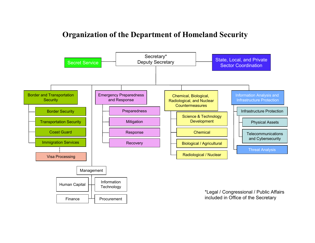# **Organization of the Department of Homeland Security**

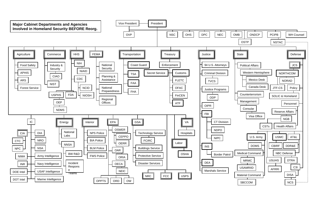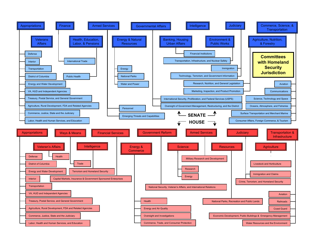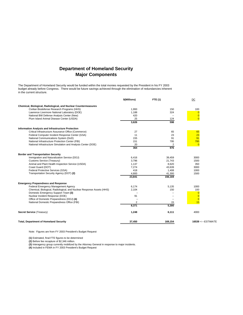## **Department of Homeland Security Major Components**

The Department of Homeland Security would be funded within the total monies requested by the President in his FY 2003 budget already before Congress. There would be future savings achieved through the elimination of redundancies inherent in the current structure.

|                                                                       | \$(Millions) | FTE (1) | DC                  |
|-----------------------------------------------------------------------|--------------|---------|---------------------|
| Chemical, Biological, Radiological, and Nuclear Countermeasures       |              |         |                     |
| Civilian Biodefense Research Programs (HHS)                           | 1,993        | 150     | 100                 |
| Lawrence Livermore National Laboratory (DOE)                          | 1,188        | 324     | $\overline{0}$      |
| National BW Defense Analysis Center (New)                             | 420          | --      | $\overline{0}$      |
| Plum Island Animal Disease Center (USDA)                              | 25           | 124     | $\overline{0}$      |
|                                                                       | 3,626        | 598     |                     |
| Information Analysis and Infrastructure Protection                    |              |         |                     |
| Critical Infrastructure Assurance Office (Commerce)                   | 27           | 65      | 65                  |
| Federal Computer Incident Response Center (GSA)                       | 11           | 23      | 23                  |
| National Communications System (DoD)                                  | 155          | 91      | 91                  |
| National Infrastructure Protection Center (FBI)                       | 151          | 795     | 795                 |
| National Infrastructure Simulation and Analysis Center (DOE)          | 20           | 2       | $\overline{0}$      |
|                                                                       | 364          | 976     |                     |
| <b>Border and Transportation Security</b>                             |              |         |                     |
| Immigration and Naturalization Service (DOJ)                          | 6,416        | 39,459  | 3000                |
| Customs Service (Treasury)                                            | 3,796        | 21,743  | 1500                |
| Animal and Plant Health Inspection Service (USDA)                     | 1,137        | 8,620   | 350                 |
| Coast Guard (DOT)                                                     | 7,274        | 43,639  | 3000                |
| Federal Protective Services (GSA)                                     | 418          | 1,408   | 1000                |
| Transportation Security Agency (DOT) (2)                              | 4,800        | 41,300  | 1500                |
|                                                                       | 23,841       | 156,169 |                     |
| <b>Emergency Preparedness and Response</b>                            |              |         |                     |
| Federal Emergency Management Agency                                   | 6,174        | 5,135   | 1000                |
| Chemical, Biological, Radiological, and Nuclear Response Assets (HHS) | 2,104        | 150     | 100                 |
| Domestic Emergency Support Team (3)                                   |              | --      | $\overline{0}$      |
| Nuclear Incident Response (DOE)                                       | 91           |         | $\overline{0}$      |
| Office of Domestic Preparedness (DOJ) (4)                             |              | --      | $\overline{0}$      |
| National Domestic Preparedness Office (FBI)                           | 2            | 15      | 15                  |
|                                                                       | 8,371        | 5,300   |                     |
| Secret Service (Treasury)                                             | 1,248        | 6,111   | 4000                |
| <b>Total, Department of Homeland Security</b>                         | 37,450       | 169,154 | 16539 <--- ESTIMATE |

Note: Figures are from FY 2003 President's Budget Request

**(1)** Estimated, final FTE figures to be determined

**(2)** Before fee recapture of \$2,346 million.

**(3)** Interagency group currently mobilized by the Attorney General in response to major incidents.

**(4)** Included in FEMA in FY 2003 President's Budget Request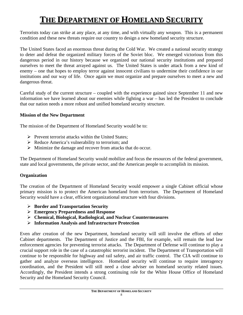# **THE DEPARTMENT OF HOMELAND SECURITY**

Terrorists today can strike at any place, at any time, and with virtually any weapon. This is a permanent condition and these new threats require our country to design a new homeland security structure.

The United States faced an enormous threat during the Cold War. We created a national security strategy to deter and defeat the organized military forces of the Soviet bloc. We emerged victorious from this dangerous period in our history because we organized our national security institutions and prepared ourselves to meet the threat arrayed against us. The United States is under attack from a new kind of enemy – one that hopes to employ terror against innocent civilians to undermine their confidence in our institutions and our way of life. Once again we must organize and prepare ourselves to meet a new and dangerous threat.

Careful study of the current structure – coupled with the experience gained since September 11 and new information we have learned about our enemies while fighting a war – has led the President to conclude that our nation needs a more robust and unified homeland security structure.

#### **Mission of the New Department**

The mission of the Department of Homeland Security would be to:

- $\triangleright$  Prevent terrorist attacks within the United States:
- $\triangleright$  Reduce America's vulnerability to terrorism; and
- $\triangleright$  Minimize the damage and recover from attacks that do occur.

The Department of Homeland Security would mobilize and focus the resources of the federal government, state and local governments, the private sector, and the American people to accomplish its mission.

# **Organization**

The creation of the Department of Homeland Security would empower a single Cabinet official whose primary mission is to protect the American homeland from terrorism. The Department of Homeland Security would have a clear, efficient organizational structure with four divisions.

- ÿ **Border and Transportation Security**
- ÿ **Emergency Preparedness and Response**
- ÿ **Chemical, Biological, Radiological, and Nuclear Countermeasures**
- ÿ **Information Analysis and Infrastructure Protection**

Even after creation of the new Department, homeland security will still involve the efforts of other Cabinet departments. The Department of Justice and the FBI, for example, will remain the lead law enforcement agencies for preventing terrorist attacks. The Department of Defense will continue to play a crucial support role in the case of a catastrophic terrorist incident. The Department of Transportation will continue to be responsible for highway and rail safety, and air traffic control. The CIA will continue to gather and analyze overseas intelligence. Homeland security will continue to require interagency coordination, and the President will still need a close adviser on homeland security related issues. Accordingly, the President intends a strong continuing role for the White House Office of Homeland Security and the Homeland Security Council.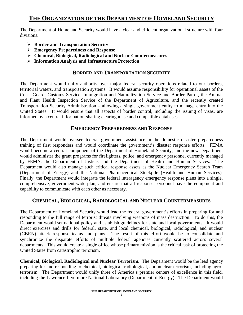# **THE ORGANIZATION OF THE DEPARTMENT OF HOMELAND SECURITY**

The Department of Homeland Security would have a clear and efficient organizational structure with four divisions:

- ÿ **Border and Transportation Security**
- ÿ **Emergency Preparedness and Response**
- ÿ **Chemical, Biological, Radiological and Nuclear Countermeasures**
- ÿ **Information Analysis and Infrastructure Protection**

# **BORDER AND TRANSPORTATION SECURITY**

The Department would unify authority over major federal security operations related to our borders, territorial waters, and transportation systems. It would assume responsibility for operational assets of the Coast Guard, Customs Service, Immigration and Naturalization Service and Border Patrol, the Animal and Plant Health Inspection Service of the Department of Agriculture, and the recently created Transportation Security Administration – allowing a single government entity to manage entry into the United States. It would ensure that all aspects of border control, including the issuing of visas, are informed by a central information-sharing clearinghouse and compatible databases.

# **EMERGENCY PREPAREDNESS AND RESPONSE**

The Department would oversee federal government assistance in the domestic disaster preparedness training of first responders and would coordinate the government's disaster response efforts. FEMA would become a central component of the Department of Homeland Security, and the new Department would administer the grant programs for firefighters, police, and emergency personnel currently managed by FEMA, the Department of Justice, and the Department of Health and Human Services. The Department would also manage such critical response assets as the Nuclear Emergency Search Team (Department of Energy) and the National Pharmaceutical Stockpile (Health and Human Services). Finally, the Department would integrate the federal interagency emergency response plans into a single, comprehensive, government-wide plan, and ensure that all response personnel have the equipment and capability to communicate with each other as necessary.

# **CHEMICAL, BIOLOGICAL, RADIOLOGICAL AND NUCLEAR COUNTERMEASURES**

The Department of Homeland Security would lead the federal government's efforts in preparing for and responding to the full range of terrorist threats involving weapons of mass destruction. To do this, the Department would set national policy and establish guidelines for state and local governments. It would direct exercises and drills for federal, state, and local chemical, biological, radiological, and nuclear (CBRN) attack response teams and plans. The result of this effort would be to consolidate and synchronize the disparate efforts of multiple federal agencies currently scattered across several departments. This would create a single office whose primary mission is the critical task of protecting the United States from catastrophic terrorism.

**Chemical, Biological, Radiological and Nuclear Terrorism.** The Department would be the lead agency preparing for and responding to chemical, biological, radiological, and nuclear terrorism, including agroterrorism. The Department would unify three of America's premier centers of excellence in this field, including the Lawrence Livermore National Laboratory (Department of Energy). The Department would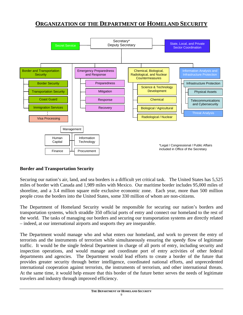# **ORGANIZATION OF THE DEPARTMENT OF HOMELAND SECURITY**



# **Border and Transportation Security**

Securing our nation's air, land, and sea borders is a difficult yet critical task. The United States has 5,525 miles of border with Canada and 1,989 miles with Mexico. Our maritime border includes 95,000 miles of shoreline, and a 3.4 million square mile exclusive economic zone. Each year, more than 500 million people cross the borders into the United States, some 330 million of whom are non-citizens.

The Department of Homeland Security would be responsible for securing our nation's borders and transportation systems, which straddle 350 official ports of entry and connect our homeland to the rest of the world. The tasks of managing our borders and securing our transportation systems are directly related – indeed, at our international airports and seaports they are inseparable.

The Department would manage who and what enters our homeland, and work to prevent the entry of terrorists and the instruments of terrorism while simultaneously ensuring the speedy flow of legitimate traffic. It would be the single federal Department in charge of all ports of entry, including security and inspection operations, and would manage and coordinate port of entry activities of other federal departments and agencies. The Department would lead efforts to create a border of the future that provides greater security through better intelligence, coordinated national efforts, and unprecedented international cooperation against terrorists, the instruments of terrorism, and other international threats. At the same time, it would help ensure that this border of the future better serves the needs of legitimate travelers and industry through improved efficiency.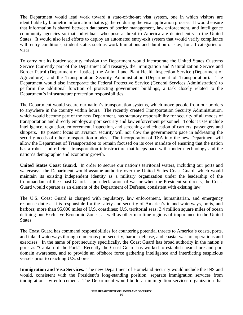The Department would lead work toward a state-of-the-art visa system, one in which visitors are identifiable by biometric information that is gathered during the visa application process. It would ensure that information is shared between databases of border management, law enforcement, and intelligence community agencies so that individuals who pose a threat to America are denied entry to the United States. It would also lead efforts to deploy an automated entry-exit system that would verify compliance with entry conditions, student status such as work limitations and duration of stay, for all categories of visas.

To carry out its border security mission the Department would incorporate the United States Customs Service (currently part of the Department of Treasury), the Immigration and Naturalization Service and Border Patrol (Department of Justice), the Animal and Plant Health Inspection Service (Department of Agriculture), and the Transportation Security Administration (Department of Transportation). The Department would also incorporate the Federal Protective Service (General Services Administration) to perform the additional function of protecting government buildings, a task closely related to the Department's infrastructure protection responsibilities.

The Department would secure our nation's transportation systems, which move people from our borders to anywhere in the country within hours. The recently created Transportation Security Administration, which would become part of the new Department, has statutory responsibility for security of all modes of transportation and directly employs airport security and law enforcement personnel. Tools it uses include intelligence, regulation, enforcement, inspection, and screening and education of carriers, passengers and shippers. Its present focus on aviation security will not slow the government's pace in addressing the security needs of other transportation modes. The incorporation of TSA into the new Department will allow the Department of Transportation to remain focused on its core mandate of ensuring that the nation has a robust and efficient transportation infrastructure that keeps pace with modern technology and the nation's demographic and economic growth.

**United States Coast Guard.** In order to secure our nation's territorial waters, including our ports and waterways, the Department would assume authority over the United States Coast Guard, which would maintain its existing independent identity as a military organization under the leadership of the Commandant of the Coast Guard. Upon declaration of war or when the President so directs, the Coast Guard would operate as an element of the Department of Defense, consistent with existing law.

The U.S. Coast Guard is charged with regulatory, law enforcement, humanitarian, and emergency response duties. It is responsible for the safety and security of America's inland waterways, ports, and harbors; more than 95,000 miles of U.S. coastlines; U.S. territorial seas; 3.4 million square miles of ocean defining our Exclusive Economic Zones; as well as other maritime regions of importance to the United States.

The Coast Guard has command responsibilities for countering potential threats to America's coasts, ports, and inland waterways through numerous port security, harbor defense, and coastal warfare operations and exercises. In the name of port security specifically, the Coast Guard has broad authority in the nation's ports as "Captain of the Port." Recently the Coast Guard has worked to establish near shore and port domain awareness, and to provide an offshore force gathering intelligence and interdicting suspicious vessels prior to reaching U.S. shores.

**Immigration and Visa Services.**The new Department of Homeland Security would include the INS and would, consistent with the President's long-standing position, separate immigration services from immigration law enforcement. The Department would build an immigration services organization that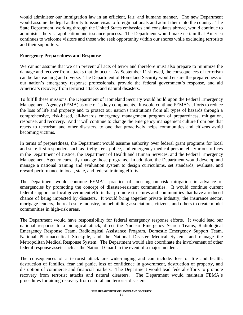would administer our immigration law in an efficient, fair, and humane manner. The new Department would assume the legal authority to issue visas to foreign nationals and admit them into the country. The State Department, working through the United States embassies and consulates abroad, would continue to administer the visa application and issuance process. The Department would make certain that America continues to welcome visitors and those who seek opportunity within our shores while excluding terrorists and their supporters.

# **Emergency Preparedness and Response**

We cannot assume that we can prevent all acts of terror and therefore must also prepare to minimize the damage and recover from attacks that do occur. As September 11 showed, the consequences of terrorism can be far-reaching and diverse. The Department of Homeland Security would ensure the preparedness of our nation's emergency response professionals, provide the federal government's response, and aid America's recovery from terrorist attacks and natural disasters.

To fulfill these missions, the Department of Homeland Security would build upon the Federal Emergency Management Agency (FEMA) as one of its key components. It would continue FEMA's efforts to reduce the loss of life and property and to protect our nation's institutions from all types of hazards through a comprehensive, risk-based, all-hazards emergency management program of preparedness, mitigation, response, and recovery. And it will continue to change the emergency management culture from one that reacts to terrorism and other disasters, to one that proactively helps communities and citizens avoid becoming victims.

In terms of preparedness, the Department would assume authority over federal grant programs for local and state first responders such as firefighters, police, and emergency medical personnel. Various offices in the Department of Justice, the Department of Health and Human Services, and the Federal Emergency Management Agency currently manage those programs. In addition, the Department would develop and manage a national training and evaluation system to design curriculums, set standards, evaluate, and reward performance in local, state, and federal training efforts.

The Department would continue FEMA's practice of focusing on risk mitigation in advance of emergencies by promoting the concept of disaster-resistant communities. It would continue current federal support for local government efforts that promote structures and communities that have a reduced chance of being impacted by disasters. It would bring together private industry, the insurance sector, mortgage lenders, the real estate industry, homebuilding associations, citizens, and others to create model communities in high-risk areas.

The Department would have responsibility for federal emergency response efforts. It would lead our national response to a biological attack, direct the Nuclear Emergency Search Teams, Radiological Emergency Response Team, Radiological Assistance Program, Domestic Emergency Support Team, National Pharmaceutical Stockpile, and the National Disaster Medical System, and manage the Metropolitan Medical Response System. The Department would also coordinate the involvement of other federal response assets such as the National Guard in the event of a major incident.

The consequences of a terrorist attack are wide-ranging and can include: loss of life and health, destruction of families, fear and panic, loss of confidence in government, destruction of property, and disruption of commerce and financial markets. The Department would lead federal efforts to promote recovery from terrorist attacks and natural disasters. The Department would maintain FEMA's procedures for aiding recovery from natural and terrorist disasters.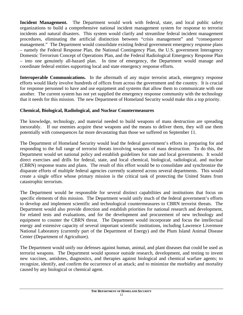**Incident Management.** The Department would work with federal, state, and local public safety organizations to build a comprehensive national incident management system for response to terrorist incidents and natural disasters. This system would clarify and streamline federal incident management procedures, eliminating the artificial distinction between "crisis management" and "consequence management." The Department would consolidate existing federal government emergency response plans – namely the Federal Response Plan, the National Contingency Plan, the U.S. government Interagency Domestic Terrorism Concept of Operations Plan, and the Federal Radiological Emergency Response Plan – into one genuinely all-hazard plan. In time of emergency, the Department would manage and coordinate federal entities supporting local and state emergency response efforts.

**Interoperable Communications.** In the aftermath of any major terrorist attack, emergency response efforts would likely involve hundreds of offices from across the government and the country. It is crucial for response personnel to have and use equipment and systems that allow them to communicate with one another. The current system has not yet supplied the emergency response community with the technology that it needs for this mission. The new Department of Homeland Security would make this a top priority.

### **Chemical, Biological, Radiological, and Nuclear Countermeasures**

The knowledge, technology, and material needed to build weapons of mass destruction are spreading inexorably. If our enemies acquire these weapons and the means to deliver them, they will use them potentially with consequences far more devastating than those we suffered on September 11.

The Department of Homeland Security would lead the federal government's efforts in preparing for and responding to the full range of terrorist threats involving weapons of mass destruction. To do this, the Department would set national policy and establish guidelines for state and local governments. It would direct exercises and drills for federal, state, and local chemical, biological, radiological, and nuclear (CBRN) response teams and plans. The result of this effort would be to consolidate and synchronize the disparate efforts of multiple federal agencies currently scattered across several departments. This would create a single office whose primary mission is the critical task of protecting the United States from catastrophic terrorism.

The Department would be responsible for several distinct capabilities and institutions that focus on specific elements of this mission. The Department would unify much of the federal government's efforts to develop and implement scientific and technological countermeasures to CBRN terrorist threats. The Department would also provide direction and establish priorities for national research and development, for related tests and evaluations, and for the development and procurement of new technology and equipment to counter the CBRN threat. The Department would incorporate and focus the intellectual energy and extensive capacity of several important scientific institutions, including Lawrence Livermore National Laboratory (currently part of the Department of Energy) and the Plum Island Animal Disease Center (Department of Agriculture).

The Department would unify our defenses against human, animal, and plant diseases that could be used as terrorist weapons. The Department would sponsor outside research, development, and testing to invent new vaccines, antidotes, diagnostics, and therapies against biological and chemical warfare agents; to recognize, identify, and confirm the occurrence of an attack; and to minimize the morbidity and mortality caused by any biological or chemical agent.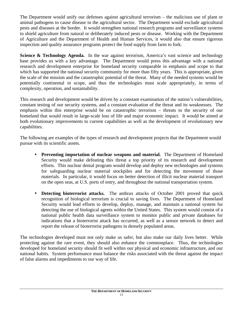The Department would unify our defenses against agricultural terrorism – the malicious use of plant or animal pathogens to cause disease in the agricultural sector. The Department would exclude agricultural pests and diseases at the border. It would strengthen national research programs and surveillance systems to shield agriculture from natural or deliberately induced pests or disease. Working with the Department of Agriculture and the Department of Health and Human Services, it would also that ensure rigorous inspection and quality assurance programs protect the food supply from farm to fork.

**Science & Technology Agenda.** In the war against terrorism, America's vast science and technology base provides us with a key advantage. The Department would press this advantage with a national research and development enterprise for homeland security comparable in emphasis and scope to that which has supported the national security community for more than fifty years. This is appropriate, given the scale of the mission and the catastrophic potential of the threat. Many of the needed systems would be potentially continental in scope, and thus the technologies must scale appropriately, in terms of complexity, operation, and sustainability.

This research and development would be driven by a constant examination of the nation's vulnerabilities, constant testing of our security systems, and a constant evaluation of the threat and its weaknesses. The emphasis within this enterprise would be on catastrophic terrorism – threats to the security of our homeland that would result in large-scale loss of life and major economic impact. It would be aimed at both evolutionary improvements to current capabilities as well as the development of revolutionary new capabilities.

The following are examples of the types of research and development projects that the Department would pursue with its scientific assets.

- **Preventing importation of nuclear weapons and material.** The Department of Homeland Security would make defeating this threat a top priority of its research and development efforts. This nuclear denial program would develop and deploy new technologies and systems for safeguarding nuclear material stockpiles and for detecting the movement of those materials. In particular, it would focus on better detection of illicit nuclear material transport on the open seas, at U.S. ports of entry, and throughout the national transportation system.
- **Detecting bioterrorist attacks.** The anthrax attacks of October 2001 proved that quick recognition of biological terrorism is crucial to saving lives. The Department of Homeland Security would lead efforts to develop, deploy, manage, and maintain a national system for detecting the use of biological agents within the United States. This system would consist of a national public health data surveillance system to monitor public and private databases for indications that a bioterrorist attack has occurred, as well as a sensor network to detect and report the release of bioterrorist pathogens in densely populated areas.

The technologies developed must not only make us safer, but also make our daily lives better. While protecting against the rare event, they should also enhance the commonplace. Thus, the technologies developed for homeland security should fit well within our physical and economic infrastructure, and our national habits. System performance must balance the risks associated with the threat against the impact of false alarms and impediments to our way of life.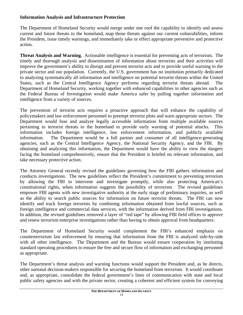## **Information Analysis and Infrastructure Protection**

The Department of Homeland Security would merge under one roof the capability to identify and assess current and future threats to the homeland, map those threats against our current vulnerabilities, inform the President, issue timely warnings, and immediately take or effect appropriate preventive and protective action.

**Threat Analysis and Warning.** Actionable intelligence is essential for preventing acts of terrorism. The timely and thorough analysis and dissemination of information about terrorists and their activities will improve the government's ability to disrupt and prevent terrorist acts and to provide useful warning to the private sector and our population. Currently, the U.S. government has no institution primarily dedicated to analyzing systematically all information and intelligence on potential terrorist threats within the United States, such as the Central Intelligence Agency performs regarding terrorist threats abroad. The Department of Homeland Security, working together with enhanced capabilities in other agencies such as the Federal Bureau of Investigation would make America safer by pulling together information and intelligence from a variety of sources.

The prevention of terrorist acts requires a proactive approach that will enhance the capability of policymakers and law enforcement personnel to preempt terrorist plots and warn appropriate sectors. The Department would fuse and analyze legally accessible information from multiple available sources pertaining to terrorist threats to the homeland to provide early warning of potential attacks. This information includes foreign intelligence, law enforcement information, and publicly available information. The Department would be a full partner and consumer of all intelligence-generating agencies, such as the Central Intelligence Agency, the National Security Agency, and the FBI. By obtaining and analyzing this information, the Department would have the ability to view the dangers facing the homeland comprehensively, ensure that the President is briefed on relevant information, and take necessary protective action.

The Attorney General recently revised the guidelines governing how the FBI gathers information and conducts investigations. The new guidelines reflect the President's commitment to preventing terrorism by allowing the FBI to intervene and investigate promptly, while also protecting American's constitutional rights, when information suggests the possibility of terrorism. The revised guidelines empower FBI agents with new investigative authority at the early stage of preliminary inquiries, as well as the ability to search public sources for information on future terrorist threats. The FBI can now identify and track foreign terrorists by combining information obtained from lawful sources, such as foreign intelligence and commercial data services, with the information derived from FBI investigations. In addition, the revised guidelines removed a layer of "red tape" by allowing FBI field offices to approve and renew terrorism enterprise investigations rather than having to obtain approval from headquarters.

The Department of Homeland Security would complement the FBI's enhanced emphasis on counterterrorism law enforcement by ensuring that information from the FBI is analyzed side-by-side with all other intelligence. The Department and the Bureau would ensure cooperation by instituting standard operating procedures to ensure the free and secure flow of information and exchanging personnel as appropriate.

The Department's threat analysis and warning functions would support the President and, as he directs, other national decision-makers responsible for securing the homeland from terrorism. It would coordinate and, as appropriate, consolidate the federal government's lines of communication with state and local public safety agencies and with the private sector, creating a coherent and efficient system for conveying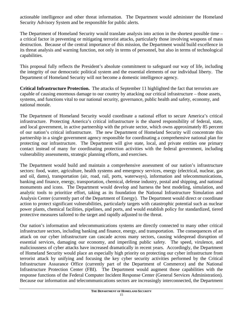actionable intelligence and other threat information. The Department would administer the Homeland Security Advisory System and be responsible for public alerts.

The Department of Homeland Security would translate analysis into action in the shortest possible time – a critical factor in preventing or mitigating terrorist attacks, particularly those involving weapons of mass destruction. Because of the central importance of this mission, the Department would build excellence in its threat analysis and warning function, not only in terms of personnel, but also in terms of technological capabilities.

This proposal fully reflects the President's absolute commitment to safeguard our way of life, including the integrity of our democratic political system and the essential elements of our individual liberty. The Department of Homeland Security will not become a domestic intelligence agency.

**Critical Infrastructure Protection.** The attacks of September 11 highlighted the fact that terrorists are capable of causing enormous damage to our country by attacking our critical infrastructure – those assets, systems, and functions vital to our national security, governance, public health and safety, economy, and national morale.

The Department of Homeland Security would coordinate a national effort to secure America's critical infrastructure. Protecting America's critical infrastructure is the shared responsibility of federal, state, and local government, in active partnership with the private sector, which owns approximately 85 percent of our nation's critical infrastructure. The new Department of Homeland Security will concentrate this partnership in a single government agency responsible for coordinating a comprehensive national plan for protecting our infrastructure. The Department will give state, local, and private entities one primary contact instead of many for coordinating protection activities with the federal government, including vulnerability assessments, strategic planning efforts, and exercises.

The Department would build and maintain a comprehensive assessment of our nation's infrastructure sectors: food, water, agriculture, health systems and emergency services, energy (electrical, nuclear, gas and oil, dams), transportation (air, road, rail, ports, waterways), information and telecommunications, banking and finance, energy, transportation, chemical, defense industry, postal and shipping, and national monuments and icons. The Department would develop and harness the best modeling, simulation, and analytic tools to prioritize effort, taking as its foundation the National Infrastructure Simulation and Analysis Center (currently part of the Department of Energy). The Department would direct or coordinate action to protect significant vulnerabilities, particularly targets with catastrophic potential such as nuclear power plants, chemical facilities, pipelines, and ports, and would establish policy for standardized, tiered protective measures tailored to the target and rapidly adjusted to the threat.

Our nation's information and telecommunications systems are directly connected to many other critical infrastructure sectors, including banking and finance, energy, and transportation. The consequences of an attack on our cyber infrastructure can cascade across many sectors, causing widespread disruption of essential services, damaging our economy, and imperiling public safety. The speed, virulence, and maliciousness of cyber attacks have increased dramatically in recent years. Accordingly, the Department of Homeland Security would place an especially high priority on protecting our cyber infrastructure from terrorist attack by unifying and focusing the key cyber security activities performed by the Critical Infrastructure Assurance Office (currently part of the Department of Commerce) and the National Infrastructure Protection Center (FBI). The Department would augment those capabilities with the response functions of the Federal Computer Incident Response Center (General Services Administration). Because our information and telecommunications sectors are increasingly interconnected, the Department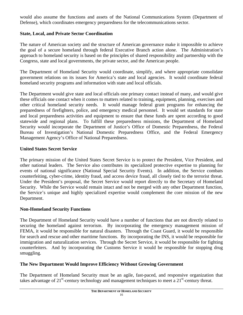would also assume the functions and assets of the National Communications System (Department of Defense), which coordinates emergency preparedness for the telecommunications sector.

# **State, Local, and Private Sector Coordination**

The nature of American society and the structure of American governance make it impossible to achieve the goal of a secure homeland through federal Executive Branch action alone. The Administration's approach to homeland security is based on the principles of shared responsibility and partnership with the Congress, state and local governments, the private sector, and the American people.

The Department of Homeland Security would coordinate, simplify, and where appropriate consolidate government relations on its issues for America's state and local agencies. It would coordinate federal homeland security programs and information with state and local officials.

The Department would give state and local officials one primary contact instead of many, and would give these officials one contact when it comes to matters related to training, equipment, planning, exercises and other critical homeland security needs. It would manage federal grant programs for enhancing the preparedness of firefighters, police, and emergency medical personnel. It would set standards for state and local preparedness activities and equipment to ensure that these funds are spent according to good statewide and regional plans. To fulfill these preparedness missions, the Department of Homeland Security would incorporate the Department of Justice's Office of Domestic Preparedness, the Federal Bureau of Investigation's National Domestic Preparedness Office, and the Federal Emergency Management Agency's Office of National Preparedness.

# **United States Secret Service**

The primary mission of the United States Secret Service is to protect the President, Vice President, and other national leaders. The Service also contributes its specialized protective expertise to planning for events of national significance (National Special Security Events). In addition, the Service combats counterfeiting, cyber-crime, identity fraud, and access device fraud, all closely tied to the terrorist threat. Under the President's proposal, the Secret Service would report directly to the Secretary of Homeland Security. While the Service would remain intact and not be merged with any other Department function, the Service's unique and highly specialized expertise would complement the core mission of the new Department.

# **Non-Homeland Security Functions**

The Department of Homeland Security would have a number of functions that are not directly related to securing the homeland against terrorism. By incorporating the emergency management mission of FEMA, it would be responsible for natural disasters. Through the Coast Guard, it would be responsible for search and rescue and other maritime functions. By incorporating the INS, it would be responsible for immigration and naturalization services. Through the Secret Service, it would be responsible for fighting counterfeiters. And by incorporating the Customs Service it would be responsible for stopping drug smuggling.

# **The New Department Would Improve Efficiency Without Growing Government**

The Department of Homeland Security must be an agile, fast-paced, and responsive organization that takes advantage of  $21<sup>st</sup>$ -century technology and management techniques to meet a  $21<sup>st</sup>$ -century threat.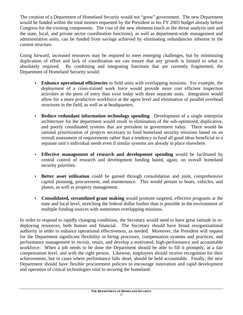The creation of a Department of Homeland Security would not "grow" government. The new Department would be funded within the total monies requested by the President in his FY 2003 budget already before Congress for the existing components. The cost of the new elements (such as the threat analysis unit and the state, local, and private sector coordination functions), as well as department-wide management and administration units, can be funded from savings achieved by eliminating redundancies inherent in the current structure.

Going forward, increased resources may be required to meet emerging challenges, but by minimizing duplication of effort and lack of coordination we can ensure that any growth is limited to what is absolutely required. By combining and integrating functions that are currently fragmented, the Department of Homeland Security would:

- **Enhance operational efficiencies** in field units with overlapping missions. For example, the deployment of a cross-trained work force would provide more cost efficient inspection activities at the ports of entry than exist today with three separate units. Integration would allow for a more productive workforce at the agent level and elimination of parallel overhead structures in the field, as well as at headquarters.
- **Reduce redundant information technology spending**. Development of a single enterprise architecture for the department would result in elimination of the sub-optimized, duplicative, and poorly coordinated systems that are prevalent in government today. There would be rational prioritization of projects necessary to fund homeland security missions based on an overall assessment of requirements rather than a tendency to fund all good ideas beneficial to a separate unit's individual needs even if similar systems are already in place elsewhere.
- **Effective management of research and development spending** would be facilitated by central control of research and development funding based, again, on overall homeland security priorities.
- **Better asset utilization** could be gained through consolidation and joint, comprehensive capital planning, procurement, and maintenance. This would pertain to boats, vehicles, and planes, as well as property management.
- **Consolidated, streamlined grant making** would promote targeted, effective programs at the state and local level, stretching the federal dollar further than is possible in the environment of multiple funding sources with sometimes overlapping missions.

In order to respond to rapidly changing conditions, the Secretary would need to have great latitude in redeploying resources, both human and financial. The Secretary should have broad reorganizational authority in order to enhance operational effectiveness, as needed. Moreover, the President will request for the Department significant flexibility in hiring processes, compensation systems and practices, and performance management to recruit, retain, and develop a motivated, high-performance and accountable workforce. When a job needs to be done the Department should be able to fill it promptly, at a fair compensation level, and with the right person. Likewise, employees should receive recognition for their achievements, but in cases where performance falls short, should be held accountable. Finally, the new Department should have flexible procurement policies to encourage innovation and rapid development and operation of critical technologies vital to securing the homeland.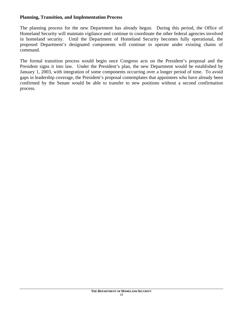#### **Planning, Transition, and Implementation Process**

The planning process for the new Department has already begun. During this period, the Office of Homeland Security will maintain vigilance and continue to coordinate the other federal agencies involved in homeland security. Until the Department of Homeland Security becomes fully operational, the proposed Department's designated components will continue to operate under existing chains of command.

The formal transition process would begin once Congress acts on the President's proposal and the President signs it into law. Under the President's plan, the new Department would be established by January 1, 2003, with integration of some components occurring over a longer period of time. To avoid gaps in leadership coverage, the President's proposal contemplates that appointees who have already been confirmed by the Senate would be able to transfer to new positions without a second confirmation process.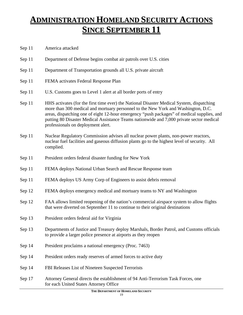# **ADMINISTRATION HOMELAND SECURITY ACTIONS SINCE SEPTEMBER 11**

| Sep $11$ | America attacked                                                                                                                                                                                                                                                                                                                                                                                               |
|----------|----------------------------------------------------------------------------------------------------------------------------------------------------------------------------------------------------------------------------------------------------------------------------------------------------------------------------------------------------------------------------------------------------------------|
| Sep 11   | Department of Defense begins combat air patrols over U.S. cities                                                                                                                                                                                                                                                                                                                                               |
| Sep 11   | Department of Transportation grounds all U.S. private aircraft                                                                                                                                                                                                                                                                                                                                                 |
| Sep 11   | FEMA activates Federal Response Plan                                                                                                                                                                                                                                                                                                                                                                           |
| Sep 11   | U.S. Customs goes to Level 1 alert at all border ports of entry                                                                                                                                                                                                                                                                                                                                                |
| Sep 11   | HHS activates (for the first time ever) the National Disaster Medical System, dispatching<br>more than 300 medical and mortuary personnel to the New York and Washington, D.C.<br>areas, dispatching one of eight 12-hour emergency "push packages" of medical supplies, and<br>putting 80 Disaster Medical Assistance Teams nationwide and 7,000 private sector medical<br>professionals on deployment alert. |
| Sep 11   | Nuclear Regulatory Commission advises all nuclear power plants, non-power reactors,<br>nuclear fuel facilities and gaseous diffusion plants go to the highest level of security. All<br>complied.                                                                                                                                                                                                              |
| Sep 11   | President orders federal disaster funding for New York                                                                                                                                                                                                                                                                                                                                                         |
| Sep 11   | FEMA deploys National Urban Search and Rescue Response team                                                                                                                                                                                                                                                                                                                                                    |
| Sep 11   | FEMA deploys US Army Corp of Engineers to assist debris removal                                                                                                                                                                                                                                                                                                                                                |
| Sep 12   | FEMA deploys emergency medical and mortuary teams to NY and Washington                                                                                                                                                                                                                                                                                                                                         |
| Sep 12   | FAA allows limited reopening of the nation's commercial airspace system to allow flights<br>that were diverted on September 11 to continue to their original destinations                                                                                                                                                                                                                                      |
| Sep 13   | President orders federal aid for Virginia                                                                                                                                                                                                                                                                                                                                                                      |
| Sep 13   | Departments of Justice and Treasury deploy Marshals, Border Patrol, and Customs officials<br>to provide a larger police presence at airports as they reopen                                                                                                                                                                                                                                                    |
| Sep 14   | President proclaims a national emergency (Proc. 7463)                                                                                                                                                                                                                                                                                                                                                          |
| Sep 14   | President orders ready reserves of armed forces to active duty                                                                                                                                                                                                                                                                                                                                                 |
| Sep 14   | FBI Releases List of Nineteen Suspected Terrorists                                                                                                                                                                                                                                                                                                                                                             |
| Sep 17   | Attorney General directs the establishment of 94 Anti-Terrorism Task Forces, one<br>for each United States Attorney Office                                                                                                                                                                                                                                                                                     |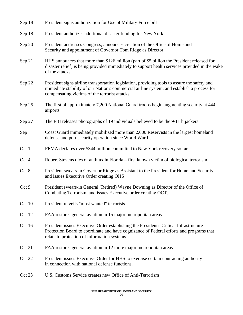| Sep 18 | President signs authorization for Use of Military Force bill                                                                                                                                                                                 |
|--------|----------------------------------------------------------------------------------------------------------------------------------------------------------------------------------------------------------------------------------------------|
| Sep 18 | President authorizes additional disaster funding for New York                                                                                                                                                                                |
| Sep 20 | President addresses Congress, announces creation of the Office of Homeland<br>Security and appointment of Governor Tom Ridge as Director                                                                                                     |
| Sep 21 | HHS announces that more than \$126 million (part of \$5 billion the President released for<br>disaster relief) is being provided immediately to support health services provided in the wake<br>of the attacks.                              |
| Sep 22 | President signs airline transportation legislation, providing tools to assure the safety and<br>immediate stability of our Nation's commercial airline system, and establish a process for<br>compensating victims of the terrorist attacks. |
| Sep 25 | The first of approximately 7,200 National Guard troops begin augmenting security at 444<br>airports                                                                                                                                          |
| Sep 27 | The FBI releases photographs of 19 individuals believed to be the 9/11 hijackers                                                                                                                                                             |
| Sep    | Coast Guard immediately mobilized more than 2,000 Reservists in the largest homeland<br>defense and port security operation since World War II.                                                                                              |
| Oct 1  | FEMA declares over \$344 million committed to New York recovery so far                                                                                                                                                                       |
| Oct 4  | Robert Stevens dies of anthrax in Florida - first known victim of biological terrorism                                                                                                                                                       |
| Oct 8  | President swears-in Governor Ridge as Assistant to the President for Homeland Security,<br>and issues Executive Order creating OHS                                                                                                           |
| Oct 9  | President swears-in General (Retired) Wayne Downing as Director of the Office of<br>Combating Terrorism, and issues Executive order creating OCT.                                                                                            |
| Oct 10 | President unveils "most wanted" terrorists                                                                                                                                                                                                   |
| Oct 12 | FAA restores general aviation in 15 major metropolitan areas                                                                                                                                                                                 |
| Oct 16 | President issues Executive Order establishing the President's Critical Infrastructure<br>Protection Board to coordinate and have cognizance of Federal efforts and programs that<br>relate to protection of information systems              |
| Oct 21 | FAA restores general aviation in 12 more major metropolitan areas                                                                                                                                                                            |
| Oct 22 | President issues Executive Order for HHS to exercise certain contracting authority<br>in connection with national defense functions.                                                                                                         |
| Oct 23 | U.S. Customs Service creates new Office of Anti-Terrorism                                                                                                                                                                                    |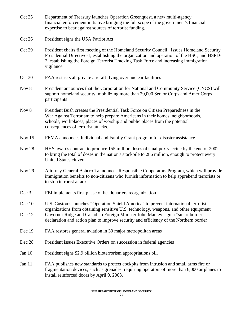| Oct 25        | Department of Treasury launches Operation Greenquest, a new multi-agency<br>financial enforcement initiative bringing the full scope of the government's financial<br>expertise to bear against sources of terrorist funding.                                                                 |
|---------------|-----------------------------------------------------------------------------------------------------------------------------------------------------------------------------------------------------------------------------------------------------------------------------------------------|
| Oct 26        | President signs the USA Patriot Act                                                                                                                                                                                                                                                           |
| Oct 29        | President chairs first meeting of the Homeland Security Council. Issues Homeland Security<br>Presidential Directive-1, establishing the organization and operation of the HSC, and HSPD-<br>2, establishing the Foreign Terrorist Tracking Task Force and increasing immigration<br>vigilance |
| Oct 30        | FAA restricts all private aircraft flying over nuclear facilities                                                                                                                                                                                                                             |
| Nov 8         | President announces that the Corporation for National and Community Service (CNCS) will<br>support homeland security, mobilizing more than 20,000 Senior Corps and AmeriCorps<br>participants                                                                                                 |
| Nov 8         | President Bush creates the Presidential Task Force on Citizen Preparedness in the<br>War Against Terrorism to help prepare Americans in their homes, neighborhoods,<br>schools, workplaces, places of worship and public places from the potential<br>consequences of terrorist attacks.      |
| Nov 15        | FEMA announces Individual and Family Grant program for disaster assistance                                                                                                                                                                                                                    |
| <b>Nov 28</b> | HHS awards contract to produce 155 million doses of smallpox vaccine by the end of 2002<br>to bring the total of doses in the nation's stockpile to 286 million, enough to protect every<br>United States citizen.                                                                            |
| <b>Nov 29</b> | Attorney General Ashcroft announces Responsible Cooperators Program, which will provide<br>immigration benefits to non-citizens who furnish information to help apprehend terrorists or<br>to stop terrorist attacks.                                                                         |
| Dec 3         | FBI implements first phase of headquarters reorganization                                                                                                                                                                                                                                     |
| Dec 10        | U.S. Customs launches "Operation Shield America" to prevent international terrorist<br>organizations from obtaining sensitive U.S. technology, weapons, and other equipment                                                                                                                   |
| Dec 12        | Governor Ridge and Canadian Foreign Minister John Manley sign a "smart border"<br>declaration and action plan to improve security and efficiency of the Northern border                                                                                                                       |
| Dec 19        | FAA restores general aviation in 30 major metropolitan areas                                                                                                                                                                                                                                  |
| Dec 28        | President issues Executive Orders on succession in federal agencies                                                                                                                                                                                                                           |
| Jan $10$      | President signs \$2.9 billion bioterrorism appropriations bill                                                                                                                                                                                                                                |
| Jan 11        | FAA publishes new standards to protect cockpits from intrusion and small arms fire or<br>fragmentation devices, such as grenades, requiring operators of more than 6,000 airplanes to<br>install reinforced doors by April 9, 2003.                                                           |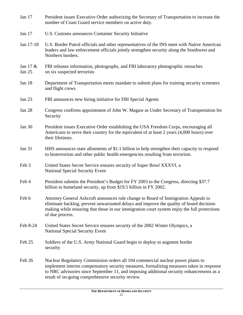| Jan 17                | President issues Executive Order authorizing the Secretary of Transportation to increase the<br>number of Coast Guard service members on active duty.                                                                                                                                                                        |
|-----------------------|------------------------------------------------------------------------------------------------------------------------------------------------------------------------------------------------------------------------------------------------------------------------------------------------------------------------------|
| Jan 17                | U.S. Customs announces Container Security Initiative                                                                                                                                                                                                                                                                         |
| Jan 17-18             | U.S. Border Patrol officials and other representatives of the INS meet with Native American<br>leaders and law enforcement officials jointly strengthen security along the Southwest and<br>Northern borders.                                                                                                                |
| Jan 17 $\&$<br>Jan 25 | FBI releases information, photographs, and FBI laboratory photographic retouches<br>on six suspected terrorists                                                                                                                                                                                                              |
| Jan 18                | Department of Transportation meets mandate to submit plans for training security screeners<br>and flight crews                                                                                                                                                                                                               |
| Jan 23                | FBI announces new hiring initiative for FBI Special Agents                                                                                                                                                                                                                                                                   |
| Jan 28                | Congress confirms appointment of John W. Magaw as Under Secretary of Transportation for<br>Security                                                                                                                                                                                                                          |
| Jan 30                | President issues Executive Order establishing the USA Freedom Corps, encouraging all<br>Americans to serve their country for the equivalent of at least 2 years (4,000 hours) over<br>their lifetimes.                                                                                                                       |
| Jan 31                | HHS announces state allotments of \$1.1 billion to help strengthen their capacity to respond<br>to bioterrorism and other public health emergencies resulting from terrorism.                                                                                                                                                |
| Feb 3                 | United States Secret Service ensures security of Super Bowl XXXVI, a<br><b>National Special Security Event</b>                                                                                                                                                                                                               |
| Feb 4                 | President submits the President's Budget for FY 2003 to the Congress, directing \$37.7<br>billion to homeland security, up from \$19.5 billion in FY 2002.                                                                                                                                                                   |
| Feb 6                 | Attorney General Ashcroft announces rule change to Board of Immigration Appeals to<br>eliminate backlog, prevent unwarranted delays and improve the quality of board decision-<br>making while ensuring that those in our immigration court system enjoy the full protections<br>of due process.                             |
| Feb 8-24              | United States Secret Service ensures security of the 2002 Winter Olympics, a<br><b>National Special Security Event</b>                                                                                                                                                                                                       |
| Feb 25                | Soldiers of the U.S. Army National Guard begin to deploy to augment border<br>security                                                                                                                                                                                                                                       |
| Feb 26                | Nuclear Regulatory Commission orders all 104 commercial nuclear power plants to<br>implement interim compensatory security measures, formalizing measures taken in response<br>to NRC advisories since September 11, and imposing additional security enhancements as a<br>result of on-going comprehensive security review. |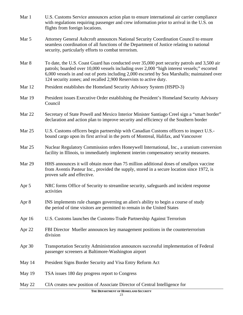| Mar 1  | U.S. Customs Service announces action plan to ensure international air carrier compliance<br>with regulations requiring passenger and crew information prior to arrival in the U.S. on<br>flights from foreign locations.                                                                                                                                       |
|--------|-----------------------------------------------------------------------------------------------------------------------------------------------------------------------------------------------------------------------------------------------------------------------------------------------------------------------------------------------------------------|
| Mar 5  | Attorney General Ashcroft announces National Security Coordination Council to ensure<br>seamless coordination of all functions of the Department of Justice relating to national<br>security, particularly efforts to combat terrorism.                                                                                                                         |
| Mar 8  | To date, the U.S. Coast Guard has conducted over 35,000 port security patrols and 3,500 air<br>patrols; boarded over 10,000 vessels including over 2,000 "high interest vessels;" escorted<br>6,000 vessels in and out of ports including 2,000 escorted by Sea Marshalls; maintained over<br>124 security zones; and recalled 2,900 Reservists to active duty. |
| Mar 12 | President establishes the Homeland Security Advisory System (HSPD-3)                                                                                                                                                                                                                                                                                            |
| Mar 19 | President issues Executive Order establishing the President's Homeland Security Advisory<br>Council                                                                                                                                                                                                                                                             |
| Mar 22 | Secretary of State Powell and Mexico Interior Minister Santiago Creel sign a "smart border"<br>declaration and action plan to improve security and efficiency of the Southern border                                                                                                                                                                            |
| Mar 25 | U.S. Customs officers begin partnership with Canadian Customs officers to inspect U.S.-<br>bound cargo upon its first arrival in the ports of Montreal, Halifax, and Vancouver                                                                                                                                                                                  |
| Mar 25 | Nuclear Regulatory Commission orders Honeywell International, Inc., a uranium conversion<br>facility in Illinois, to immediately implement interim compensatory security measures.                                                                                                                                                                              |
| Mar 29 | HHS announces it will obtain more than 75 million additional doses of smallpox vaccine<br>from Aventis Pasteur Inc., provided the supply, stored in a secure location since 1972, is<br>proven safe and effective.                                                                                                                                              |
| Apr 5  | NRC forms Office of Security to streamline security, safeguards and incident response<br>activities                                                                                                                                                                                                                                                             |
| Apr 8  | INS implements rule changes governing an alien's ability to begin a course of study<br>the period of time visitors are permitted to remain in the United States                                                                                                                                                                                                 |
| Apr 16 | U.S. Customs launches the Customs-Trade Partnership Against Terrorism                                                                                                                                                                                                                                                                                           |
| Apr 22 | FBI Director Mueller announces key management positions in the counterterrorism<br>division                                                                                                                                                                                                                                                                     |
| Apr 30 | Transportation Security Administration announces successful implementation of Federal<br>passenger screeners at Baltimore-Washington airport                                                                                                                                                                                                                    |
| May 14 | President Signs Border Security and Visa Entry Reform Act                                                                                                                                                                                                                                                                                                       |
| May 19 | TSA issues 180 day progress report to Congress                                                                                                                                                                                                                                                                                                                  |
| May 22 | CIA creates new position of Associate Director of Central Intelligence for                                                                                                                                                                                                                                                                                      |